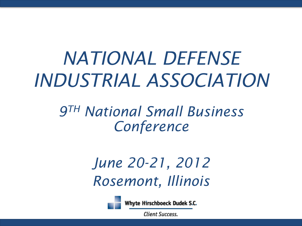# *NATIONAL DEFENSE INDUSTRIAL ASSOCIATION*

*9TH National Small Business Conference*

> *June 20-21, 2012 Rosemont, Illinois*



Whyte Hirschboeck Dudek S.C.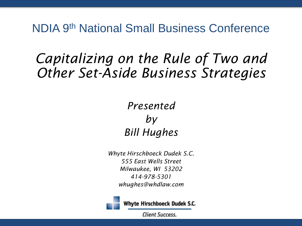# *Capitalizing on the Rule of Two and Other Set-Aside Business Strategies*

#### *Presented by Bill Hughes*

*Whyte Hirschboeck Dudek S.C. 555 East Wells Street Milwaukee, WI 53202 414-978-5301 whughes@whdlaw.com*



Whyte Hirschboeck Dudek S.C.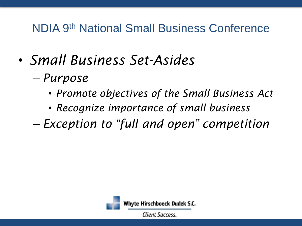- *Small Business Set-Asides*
	- *Purpose*
		- *Promote objectives of the Small Business Act*
		- *Recognize importance of small business*
	- *Exception to "full and open" competition*

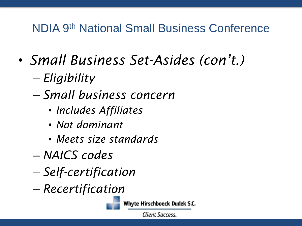- *Small Business Set-Asides (con't.)*
	- *Eligibility*
	- *Small business concern*
		- *Includes Affiliates*
		- *Not dominant*
		- *Meets size standards*
	- *NAICS codes*
	- *Self-certification*
	- *Recertification*



Whyte Hirschboeck Dudek S.C.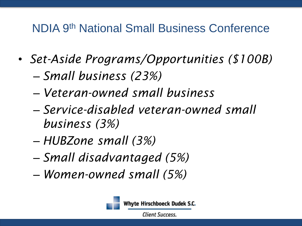- *Set-Aside Programs/Opportunities (\$100B)* – *Small business (23%)*
	- *Veteran-owned small business*
	- *Service-disabled veteran-owned small business (3%)*
	- *HUBZone small (3%)*
	- *Small disadvantaged (5%)*
	- *Women-owned small (5%)*



Whyte Hirschboeck Dudek S.C.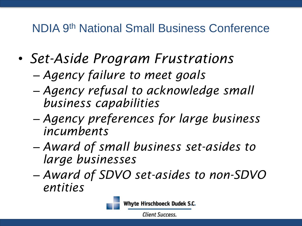• *Set-Aside Program Frustrations*

– *Agency failure to meet goals*

- *Agency refusal to acknowledge small business capabilities*
- *Agency preferences for large business incumbents*
- *Award of small business set-asides to large businesses*
- *Award of SDVO set-asides to non-SDVO entities*



Whyte Hirschboeck Dudek S.C.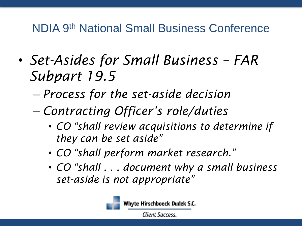- *Set-Asides for Small Business – FAR Subpart 19.5*
	- *Process for the set-aside decision*
	- *Contracting Officer's role/duties*
		- *CO "shall review acquisitions to determine if they can be set aside"*
		- *CO "shall perform market research."*
		- *CO "shall . . . document why a small business set-aside is not appropriate"*



Whyte Hirschboeck Dudek S.C.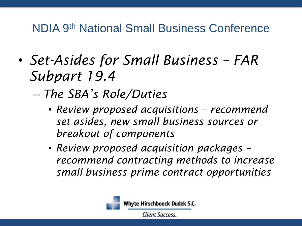- *Set-Asides for Small Business – FAR Subpart 19.4*
	- *The SBA's Role/Duties*
		- *Review proposed acquisitions – recommend set asides, new small business sources or breakout of components*
		- *Review proposed acquisition packages – recommend contracting methods to increase small business prime contract opportunities*

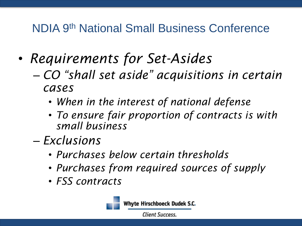- *Requirements for Set-Asides*
	- *CO "shall set aside" acquisitions in certain cases*
		- *When in the interest of national defense*
		- *To ensure fair proportion of contracts is with small business*
	- *Exclusions*
		- *Purchases below certain thresholds*
		- *Purchases from required sources of supply*
		- *FSS contracts*



Whyte Hirschboeck Dudek S.C.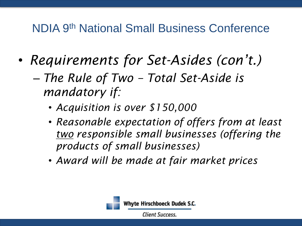- *Requirements for Set-Asides (con't.)*
	- *The Rule of Two – Total Set-Aside is mandatory if:*
		- *Acquisition is over \$150,000*
		- *Reasonable expectation of offers from at least two responsible small businesses (offering the products of small businesses)*
		- *Award will be made at fair market prices*

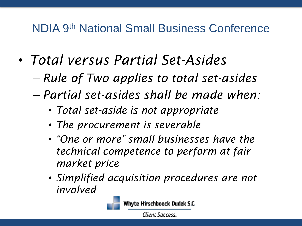- *Total versus Partial Set-Asides*
	- *Rule of Two applies to total set-asides*
	- *Partial set-asides shall be made when:*
		- *Total set-aside is not appropriate*
		- *The procurement is severable*
		- *"One or more" small businesses have the technical competence to perform at fair market price*
		- *Simplified acquisition procedures are not involved*



Whyte Hirschboeck Dudek S.C.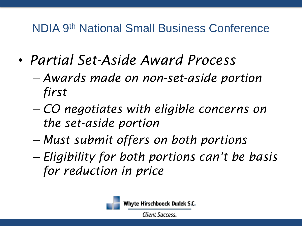- *Partial Set-Aside Award Process*
	- *Awards made on non-set-aside portion first*
	- *CO negotiates with eligible concerns on the set-aside portion*
	- *Must submit offers on both portions*
	- *Eligibility for both portions can't be basis for reduction in price*



Whyte Hirschboeck Dudek S.C.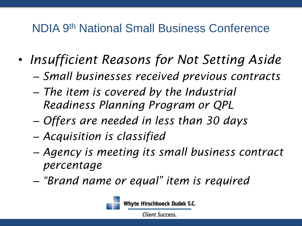- *Insufficient Reasons for Not Setting Aside*
	- *Small businesses received previous contracts*
	- *The item is covered by the Industrial Readiness Planning Program or QPL*
	- *Offers are needed in less than 30 days*
	- *Acquisition is classified*
	- *Agency is meeting its small business contract percentage*
	- *"Brand name or equal" item is required*



Whyte Hirschboeck Dudek S.C.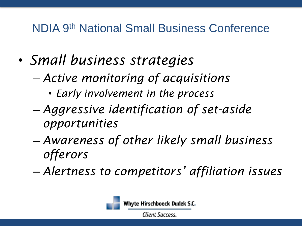- *Small business strategies*
	- *Active monitoring of acquisitions*
		- *Early involvement in the process*
	- *Aggressive identification of set-aside opportunities*
	- *Awareness of other likely small business offerors*
	- *Alertness to competitors' affiliation issues*

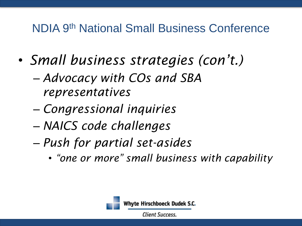- *Small business strategies (con't.)*
	- *Advocacy with COs and SBA representatives*
	- *Congressional inquiries*
	- *NAICS code challenges*
	- *Push for partial set-asides*
		- *"one or more" small business with capability*

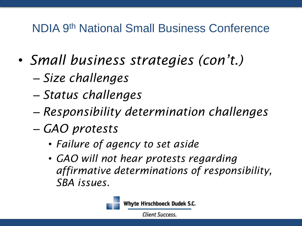- *Small business strategies (con't.)*
	- *Size challenges*
	- *Status challenges*
	- *Responsibility determination challenges*
	- *GAO protests*
		- *Failure of agency to set aside*
		- *GAO will not hear protests regarding affirmative determinations of responsibility, SBA issues.*



Whyte Hirschboeck Dudek S.C.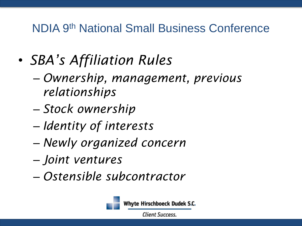- *SBA's Affiliation Rules*
	- *Ownership, management, previous relationships*
	- *Stock ownership*
	- *Identity of interests*
	- *Newly organized concern*
	- *Joint ventures*
	- *Ostensible subcontractor*



Whyte Hirschboeck Dudek S.C.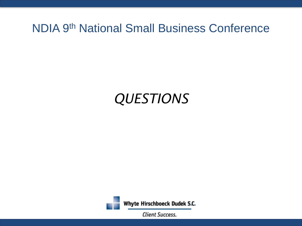# *QUESTIONS*